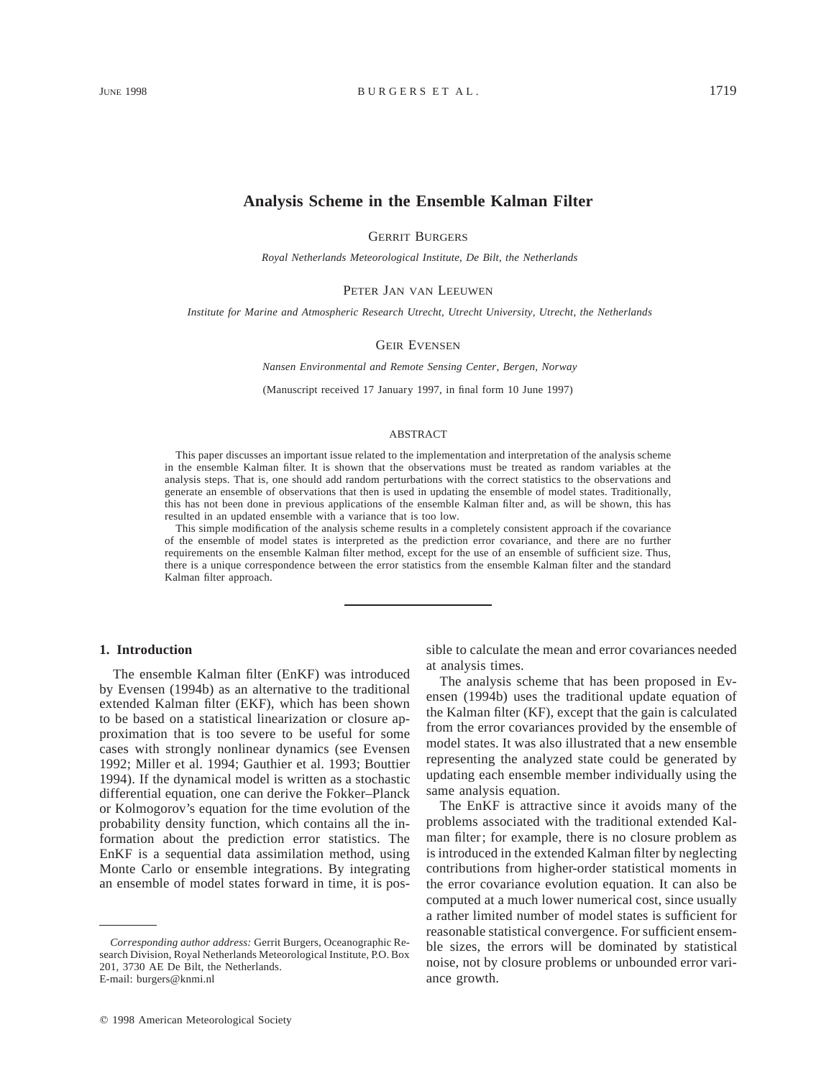# **Analysis Scheme in the Ensemble Kalman Filter**

GERRIT BURGERS

*Royal Netherlands Meteorological Institute, De Bilt, the Netherlands*

PETER JAN VAN LEEUWEN

*Institute for Marine and Atmospheric Research Utrecht, Utrecht University, Utrecht, the Netherlands*

GEIR EVENSEN

*Nansen Environmental and Remote Sensing Center, Bergen, Norway*

(Manuscript received 17 January 1997, in final form 10 June 1997)

#### ABSTRACT

This paper discusses an important issue related to the implementation and interpretation of the analysis scheme in the ensemble Kalman filter. It is shown that the observations must be treated as random variables at the analysis steps. That is, one should add random perturbations with the correct statistics to the observations and generate an ensemble of observations that then is used in updating the ensemble of model states. Traditionally, this has not been done in previous applications of the ensemble Kalman filter and, as will be shown, this has resulted in an updated ensemble with a variance that is too low.

This simple modification of the analysis scheme results in a completely consistent approach if the covariance of the ensemble of model states is interpreted as the prediction error covariance, and there are no further requirements on the ensemble Kalman filter method, except for the use of an ensemble of sufficient size. Thus, there is a unique correspondence between the error statistics from the ensemble Kalman filter and the standard Kalman filter approach.

## **1. Introduction**

The ensemble Kalman filter (EnKF) was introduced by Evensen (1994b) as an alternative to the traditional extended Kalman filter (EKF), which has been shown to be based on a statistical linearization or closure approximation that is too severe to be useful for some cases with strongly nonlinear dynamics (see Evensen 1992; Miller et al. 1994; Gauthier et al. 1993; Bouttier 1994). If the dynamical model is written as a stochastic differential equation, one can derive the Fokker–Planck or Kolmogorov's equation for the time evolution of the probability density function, which contains all the information about the prediction error statistics. The EnKF is a sequential data assimilation method, using Monte Carlo or ensemble integrations. By integrating an ensemble of model states forward in time, it is possible to calculate the mean and error covariances needed at analysis times.

The analysis scheme that has been proposed in Evensen (1994b) uses the traditional update equation of the Kalman filter (KF), except that the gain is calculated from the error covariances provided by the ensemble of model states. It was also illustrated that a new ensemble representing the analyzed state could be generated by updating each ensemble member individually using the same analysis equation.

The EnKF is attractive since it avoids many of the problems associated with the traditional extended Kalman filter; for example, there is no closure problem as is introduced in the extended Kalman filter by neglecting contributions from higher-order statistical moments in the error covariance evolution equation. It can also be computed at a much lower numerical cost, since usually a rather limited number of model states is sufficient for reasonable statistical convergence. For sufficient ensemble sizes, the errors will be dominated by statistical noise, not by closure problems or unbounded error variance growth.

*Corresponding author address:* Gerrit Burgers, Oceanographic Research Division, Royal Netherlands Meteorological Institute, P.O. Box 201, 3730 AE De Bilt, the Netherlands. E-mail: burgers@knmi.nl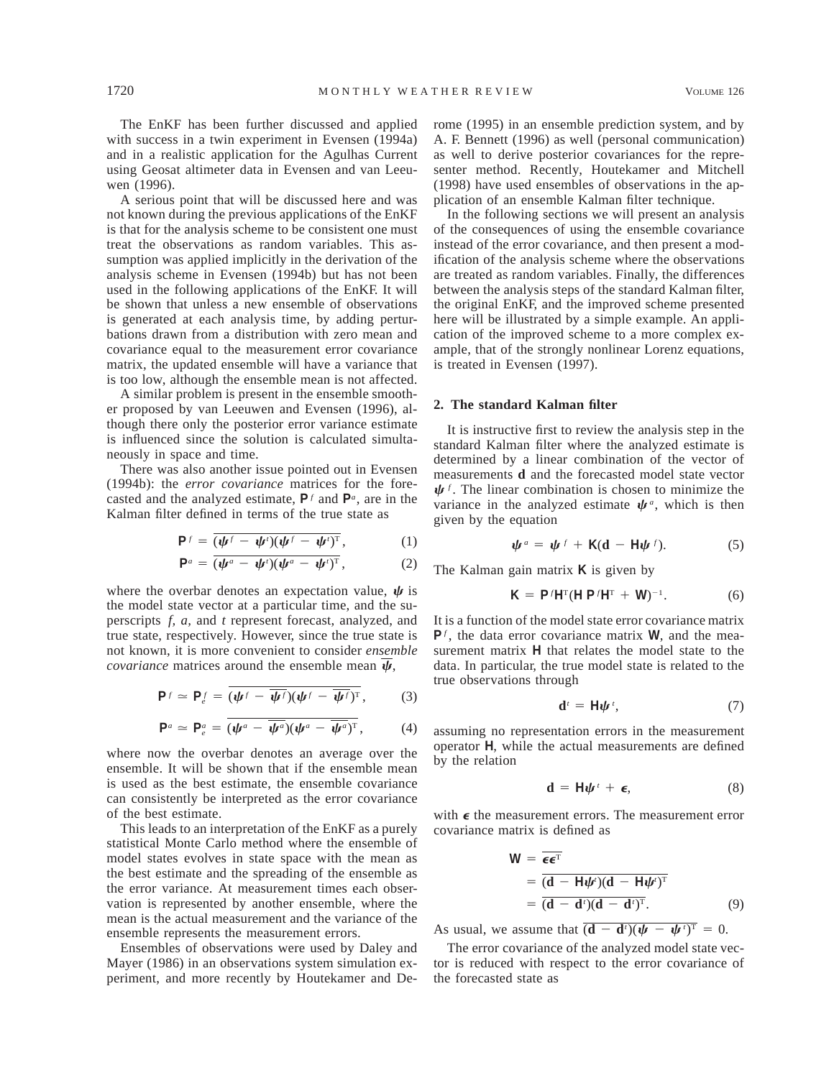The EnKF has been further discussed and applied with success in a twin experiment in Evensen (1994a) and in a realistic application for the Agulhas Current using Geosat altimeter data in Evensen and van Leeuwen (1996).

A serious point that will be discussed here and was not known during the previous applications of the EnKF is that for the analysis scheme to be consistent one must treat the observations as random variables. This assumption was applied implicitly in the derivation of the analysis scheme in Evensen (1994b) but has not been used in the following applications of the EnKF. It will be shown that unless a new ensemble of observations is generated at each analysis time, by adding perturbations drawn from a distribution with zero mean and covariance equal to the measurement error covariance matrix, the updated ensemble will have a variance that is too low, although the ensemble mean is not affected.

A similar problem is present in the ensemble smoother proposed by van Leeuwen and Evensen (1996), although there only the posterior error variance estimate is influenced since the solution is calculated simultaneously in space and time.

There was also another issue pointed out in Evensen (1994b): the *error covariance* matrices for the forecasted and the analyzed estimate,  $P<sup>f</sup>$  and  $P<sup>a</sup>$ , are in the Kalman filter defined in terms of the true state as

$$
\mathbf{P}^f = \overline{(\boldsymbol{\psi}^f - \boldsymbol{\psi}^t)(\boldsymbol{\psi}^f - \boldsymbol{\psi}^t)^T}, \tag{1}
$$

$$
\mathbf{P}^a = \overline{(\boldsymbol{\psi}^a - \boldsymbol{\psi}^t)(\boldsymbol{\psi}^a - \boldsymbol{\psi}^t)^T}, \tag{2}
$$

where the overbar denotes an expectation value,  $\psi$  is the model state vector at a particular time, and the superscripts *f, a,* and *t* represent forecast, analyzed, and true state, respectively. However, since the true state is not known, it is more convenient to consider *ensemble covariance* matrices around the ensemble mean  $\overline{\psi}$ ,

$$
\mathsf{P}^f \simeq \mathsf{P}^f_e = \overline{(\psi^f - \overline{\psi^f})(\psi^f - \overline{\psi^f})^T},\tag{3}
$$

$$
\mathsf{P}^a \simeq \mathsf{P}_e^a = \overline{(\psi^a - \overline{\psi^a})(\psi^a - \overline{\psi^a})^{\mathrm{T}}},\tag{4}
$$

where now the overbar denotes an average over the ensemble. It will be shown that if the ensemble mean is used as the best estimate, the ensemble covariance can consistently be interpreted as the error covariance of the best estimate.

This leads to an interpretation of the EnKF as a purely statistical Monte Carlo method where the ensemble of model states evolves in state space with the mean as the best estimate and the spreading of the ensemble as the error variance. At measurement times each observation is represented by another ensemble, where the mean is the actual measurement and the variance of the ensemble represents the measurement errors.

Ensembles of observations were used by Daley and Mayer (1986) in an observations system simulation experiment, and more recently by Houtekamer and Derome (1995) in an ensemble prediction system, and by A. F. Bennett (1996) as well (personal communication) as well to derive posterior covariances for the representer method. Recently, Houtekamer and Mitchell (1998) have used ensembles of observations in the application of an ensemble Kalman filter technique.

In the following sections we will present an analysis of the consequences of using the ensemble covariance instead of the error covariance, and then present a modification of the analysis scheme where the observations are treated as random variables. Finally, the differences between the analysis steps of the standard Kalman filter, the original EnKF, and the improved scheme presented here will be illustrated by a simple example. An application of the improved scheme to a more complex example, that of the strongly nonlinear Lorenz equations, is treated in Evensen (1997).

## **2. The standard Kalman filter**

It is instructive first to review the analysis step in the standard Kalman filter where the analyzed estimate is determined by a linear combination of the vector of measurements **d** and the forecasted model state vector  $\psi$ <sup>f</sup>. The linear combination is chosen to minimize the variance in the analyzed estimate  $\psi^a$ , which is then given by the equation

$$
\psi^a = \psi^f + \mathsf{K}(\mathbf{d} - \mathsf{H}\psi^f). \tag{5}
$$

The Kalman gain matrix **K** is given by

$$
\mathbf{K} = \mathbf{P}^f \mathbf{H}^{\mathrm{T}} (\mathbf{H} \mathbf{P}^f \mathbf{H}^{\mathrm{T}} + \mathbf{W})^{-1}.
$$
 (6)

It is a function of the model state error covariance matrix  $P<sup>f</sup>$ , the data error covariance matrix **W**, and the measurement matrix **H** that relates the model state to the data. In particular, the true model state is related to the true observations through

$$
\mathbf{d}^t = \mathbf{H}\boldsymbol{\psi}^t,\tag{7}
$$

assuming no representation errors in the measurement operator **H**, while the actual measurements are defined by the relation

$$
\mathbf{d} = \mathbf{H}\boldsymbol{\psi}^t + \boldsymbol{\epsilon}, \tag{8}
$$

with  $\epsilon$  the measurement errors. The measurement error covariance matrix is defined as

$$
W = \overline{\epsilon \epsilon^{T}}
$$
  
= 
$$
\frac{d - H\psi'(d - H\psi')^{T}}{(d - d')(d - d')^{T}}
$$
  
= 
$$
\frac{d}{dt} \left(1 - d\psi'(d - d')^{T}\right)
$$
 (9)

As usual, we assume that  $(\mathbf{d} - \mathbf{d}^t)(\boldsymbol{\psi} - \boldsymbol{\psi}^t)^T = 0$ .

The error covariance of the analyzed model state vector is reduced with respect to the error covariance of the forecasted state as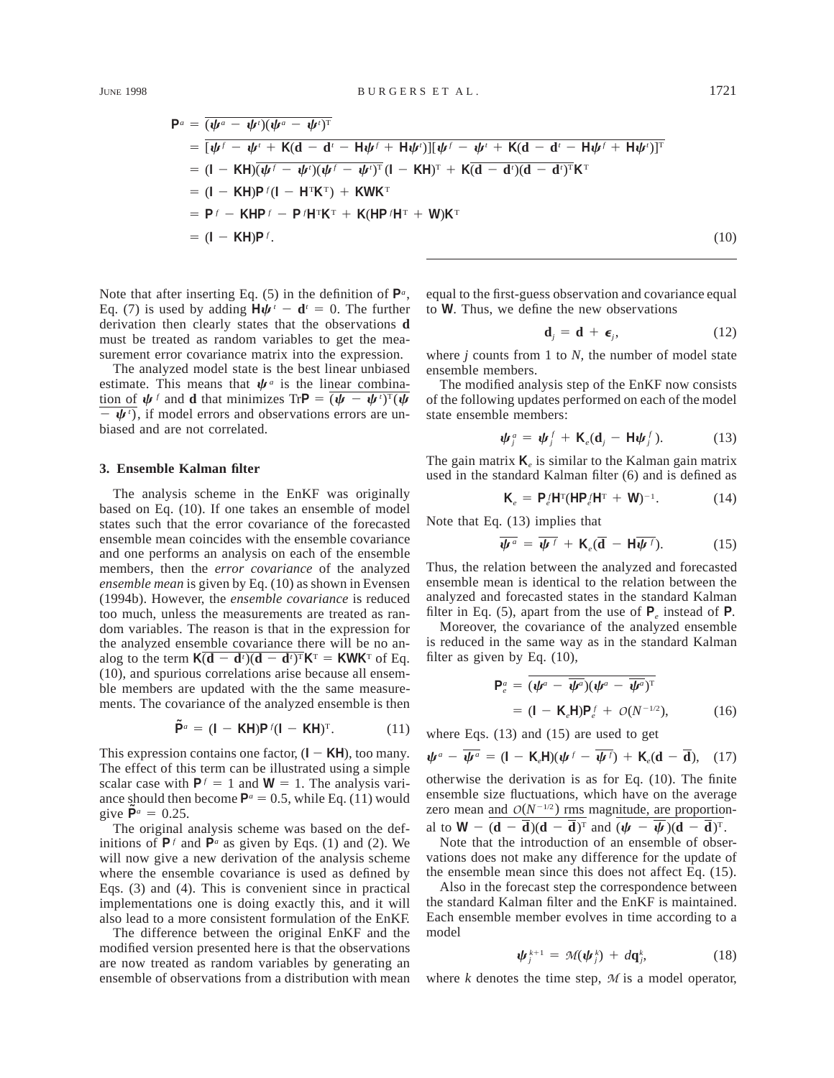$$
= (\mathbf{I} - \mathbf{K} \mathbf{H}) (\overline{\boldsymbol{\psi}^f - \boldsymbol{\psi}^i}) (\overline{\boldsymbol{\psi}^f - \boldsymbol{\psi}^i})^T (\mathbf{I} - \mathbf{K} \mathbf{H})^T + \mathbf{K} (\overline{\mathbf{d} - \mathbf{d}^i}) (\mathbf{d} - \mathbf{d}^i)^T \mathbf{K}^T
$$
\n
$$
= (\mathbf{I} - \mathbf{K} \mathbf{H}) \mathbf{P}^f (\mathbf{I} - \mathbf{H}^T \mathbf{K}^T) + \mathbf{K} \mathbf{W} \mathbf{K}^T
$$
\n
$$
= \mathbf{P}^f - \mathbf{K} \mathbf{H} \mathbf{P}^f - \mathbf{P}^f \mathbf{H}^T \mathbf{K}^T + \mathbf{K} (\mathbf{H} \mathbf{P}^f \mathbf{H}^T + \mathbf{W}) \mathbf{K}^T
$$
\n
$$
= (\mathbf{I} - \mathbf{K} \mathbf{H}) \mathbf{P}^f. \tag{10}
$$

Note that after inserting Eq. (5) in the definition of **P***<sup>a</sup>*, Eq. (7) is used by adding  $H\psi^t - d^t = 0$ . The further derivation then clearly states that the observations **d** must be treated as random variables to get the measurement error covariance matrix into the expression.

 $\mathsf{P}^a = \overline{(\boldsymbol{\psi}^a - \boldsymbol{\psi}^t)(\boldsymbol{\psi}^a - \boldsymbol{\psi}^t)^{\mathrm{T}}}$ 

The analyzed model state is the best linear unbiased estimate. This means that  $\psi^a$  is the linear combination of  $\psi$ <sup>*f*</sup> and **d** that minimizes Tr**P** =  $\overline{(\psi - \psi')^T(\psi)}$  $-\psi$ <sup>t</sup>), if model errors and observations errors are unbiased and are not correlated.

#### **3. Ensemble Kalman filter**

The analysis scheme in the EnKF was originally based on Eq. (10). If one takes an ensemble of model states such that the error covariance of the forecasted ensemble mean coincides with the ensemble covariance and one performs an analysis on each of the ensemble members, then the *error covariance* of the analyzed *ensemble mean* is given by Eq. (10) as shown in Evensen (1994b). However, the *ensemble covariance* is reduced too much, unless the measurements are treated as random variables. The reason is that in the expression for the analyzed ensemble covariance there will be no analog to the term  $\mathbf{K}(\mathbf{d} - \mathbf{d}^t)(\mathbf{d} - \mathbf{d}^t)^T \mathbf{K}^T = \mathbf{K} \mathbf{W} \mathbf{K}^T$  of Eq. (10), and spurious correlations arise because all ensemble members are updated with the the same measurements. The covariance of the analyzed ensemble is then

$$
\tilde{\mathbf{P}}^a = (\mathbf{I} - \mathbf{K} \mathbf{H}) \mathbf{P}^f (\mathbf{I} - \mathbf{K} \mathbf{H})^T. \tag{11}
$$

This expression contains one factor,  $(I - KH)$ , too many. The effect of this term can be illustrated using a simple scalar case with  $P_f = 1$  and  $W = 1$ . The analysis variance should then become  $P^a = 0.5$ , while Eq. (11) would give  $\tilde{P}^a = 0.25$ .

The original analysis scheme was based on the definitions of  $P^f$  and  $P^a$  as given by Eqs. (1) and (2). We will now give a new derivation of the analysis scheme where the ensemble covariance is used as defined by Eqs. (3) and (4). This is convenient since in practical implementations one is doing exactly this, and it will also lead to a more consistent formulation of the EnKF.

The difference between the original EnKF and the modified version presented here is that the observations are now treated as random variables by generating an ensemble of observations from a distribution with mean equal to the first-guess observation and covariance equal to **W**. Thus, we define the new observations

$$
\mathbf{d}_j = \mathbf{d} + \boldsymbol{\epsilon}_j,\tag{12}
$$

where *j* counts from 1 to *N,* the number of model state ensemble members.

The modified analysis step of the EnKF now consists of the following updates performed on each of the model state ensemble members:

$$
\boldsymbol{\psi}_j^a = \boldsymbol{\psi}_j^f + \mathbf{K}_e(\mathbf{d}_j - \mathbf{H}\boldsymbol{\psi}_j^f). \tag{13}
$$

The gain matrix  $K_e$  is similar to the Kalman gain matrix used in the standard Kalman filter (6) and is defined as

$$
\mathbf{K}_e = \mathbf{P}_e^f \mathbf{H}^{\mathrm{T}} (\mathbf{H} \mathbf{P}_e^f \mathbf{H}^{\mathrm{T}} + \mathbf{W})^{-1}.
$$
 (14)

Note that Eq. (13) implies that

$$
\overline{\psi^a} = \overline{\psi^f} + \mathsf{K}_e(\overline{\mathbf{d}} - \mathsf{H}\overline{\psi^f}). \tag{15}
$$

Thus, the relation between the analyzed and forecasted ensemble mean is identical to the relation between the analyzed and forecasted states in the standard Kalman filter in Eq. (5), apart from the use of  $P_e$  instead of  $P$ .

Moreover, the covariance of the analyzed ensemble is reduced in the same way as in the standard Kalman filter as given by Eq. (10),

$$
\mathbf{P}_e^a = \overline{(\mathbf{\psi}^a - \overline{\mathbf{\psi}^a})(\mathbf{\psi}^a - \overline{\mathbf{\psi}^a})^T}
$$
  
=  $(\mathbf{I} - \mathbf{K}_e \mathbf{H}) \mathbf{P}_e^f + O(N^{-1/2}),$  (16)

where Eqs. (13) and (15) are used to get

$$
\boldsymbol{\psi}^a - \overline{\boldsymbol{\psi}^a} = (\mathbf{I} - \mathbf{K}_e \mathbf{H}) (\boldsymbol{\psi}^f - \overline{\boldsymbol{\psi}^f}) + \mathbf{K}_e (\mathbf{d} - \overline{\mathbf{d}}), \quad (17)
$$

otherwise the derivation is as for Eq. (10). The finite ensemble size fluctuations, which have on the average zero mean and  $O(N^{-1/2})$  rms magnitude, are proportional to  $W - (\mathbf{d} - \overline{\mathbf{d}})(\mathbf{d} - \overline{\mathbf{d}})^T$  and  $(\boldsymbol{\psi} - \overline{\boldsymbol{\psi}})(\mathbf{d} - \overline{\mathbf{d}})^T$ .

Note that the introduction of an ensemble of observations does not make any difference for the update of the ensemble mean since this does not affect Eq. (15).

Also in the forecast step the correspondence between the standard Kalman filter and the EnKF is maintained. Each ensemble member evolves in time according to a model

$$
\boldsymbol{\psi}_j^{k+1} = \mathcal{M}(\boldsymbol{\psi}_j^k) + d\mathbf{q}_j^k, \tag{18}
$$

where *k* denotes the time step, *M* is a model operator,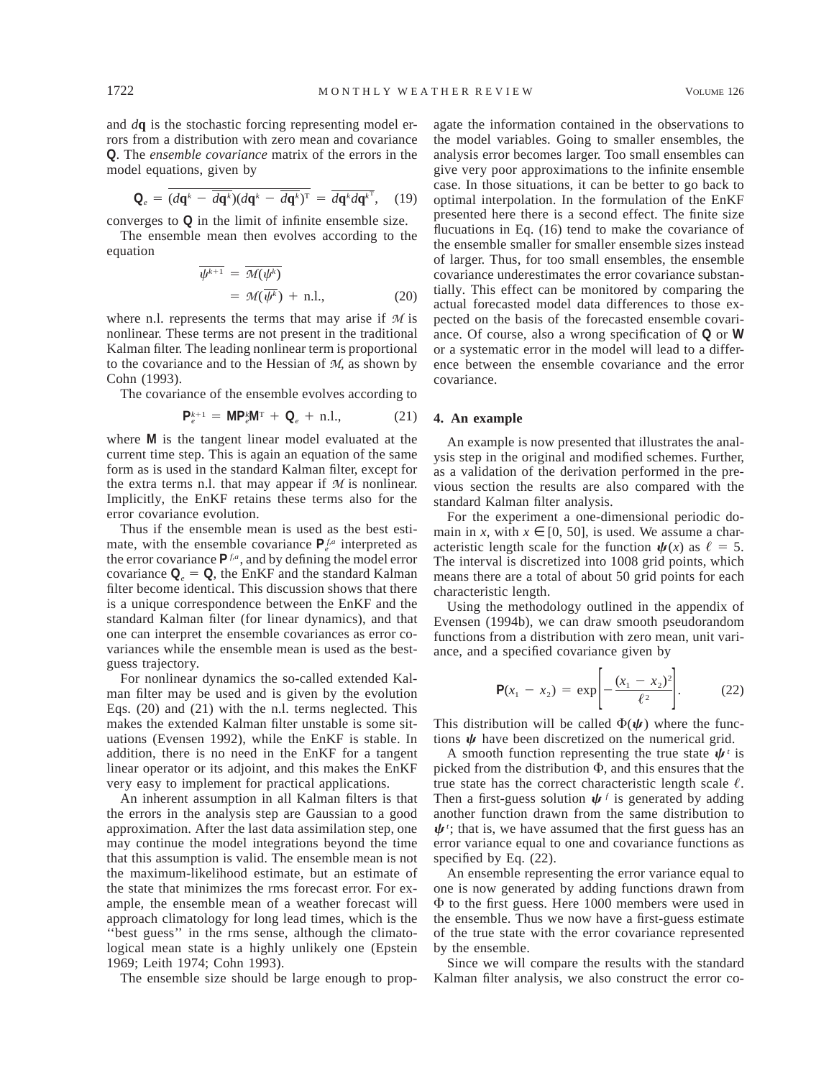and *d***q** is the stochastic forcing representing model errors from a distribution with zero mean and covariance **Q**. The *ensemble covariance* matrix of the errors in the model equations, given by

$$
\mathbf{Q}_e = \overline{(d\mathbf{q}^k - \overline{d\mathbf{q}^k})(d\mathbf{q}^k - \overline{d\mathbf{q}^k})^{\mathrm{T}}} = \overline{d\mathbf{q}^k d\mathbf{q}^{k^{\mathrm{T}}}}, \quad (19)
$$

converges to **Q** in the limit of infinite ensemble size.

The ensemble mean then evolves according to the equation

$$
\overline{\psi^{k+1}} = \overline{\mathcal{M}(\psi^k)}
$$
  
=  $\mathcal{M}(\overline{\psi^k}) + \text{n.l.},$  (20)

where n.l. represents the terms that may arise if *M* is nonlinear. These terms are not present in the traditional Kalman filter. The leading nonlinear term is proportional to the covariance and to the Hessian of *M*, as shown by Cohn (1993).

The covariance of the ensemble evolves according to

$$
\mathbf{P}_{e}^{k+1} = \mathbf{M} \mathbf{P}_{e}^{k} \mathbf{M}^{\mathrm{T}} + \mathbf{Q}_{e} + \text{n.l.,}
$$
 (21)

where **M** is the tangent linear model evaluated at the current time step. This is again an equation of the same form as is used in the standard Kalman filter, except for the extra terms n.l. that may appear if *M* is nonlinear. Implicitly, the EnKF retains these terms also for the error covariance evolution.

Thus if the ensemble mean is used as the best estimate, with the ensemble covariance  $\mathbf{P}_{e}^{fa}$  interpreted as the error covariance  $\mathbf{P}^{f,a}$ , and by defining the model error covariance  $\mathbf{Q}_e = \mathbf{Q}$ , the EnKF and the standard Kalman filter become identical. This discussion shows that there is a unique correspondence between the EnKF and the standard Kalman filter (for linear dynamics), and that one can interpret the ensemble covariances as error covariances while the ensemble mean is used as the bestguess trajectory.

For nonlinear dynamics the so-called extended Kalman filter may be used and is given by the evolution Eqs. (20) and (21) with the n.l. terms neglected. This makes the extended Kalman filter unstable is some situations (Evensen 1992), while the EnKF is stable. In addition, there is no need in the EnKF for a tangent linear operator or its adjoint, and this makes the EnKF very easy to implement for practical applications.

An inherent assumption in all Kalman filters is that the errors in the analysis step are Gaussian to a good approximation. After the last data assimilation step, one may continue the model integrations beyond the time that this assumption is valid. The ensemble mean is not the maximum-likelihood estimate, but an estimate of the state that minimizes the rms forecast error. For example, the ensemble mean of a weather forecast will approach climatology for long lead times, which is the ''best guess'' in the rms sense, although the climatological mean state is a highly unlikely one (Epstein 1969; Leith 1974; Cohn 1993).

The ensemble size should be large enough to prop-

agate the information contained in the observations to the model variables. Going to smaller ensembles, the analysis error becomes larger. Too small ensembles can give very poor approximations to the infinite ensemble case. In those situations, it can be better to go back to optimal interpolation. In the formulation of the EnKF presented here there is a second effect. The finite size flucuations in Eq. (16) tend to make the covariance of the ensemble smaller for smaller ensemble sizes instead of larger. Thus, for too small ensembles, the ensemble covariance underestimates the error covariance substantially. This effect can be monitored by comparing the actual forecasted model data differences to those expected on the basis of the forecasted ensemble covariance. Of course, also a wrong specification of **Q** or **W** or a systematic error in the model will lead to a difference between the ensemble covariance and the error covariance.

#### **4. An example**

An example is now presented that illustrates the analysis step in the original and modified schemes. Further, as a validation of the derivation performed in the previous section the results are also compared with the standard Kalman filter analysis.

For the experiment a one-dimensional periodic domain in *x*, with  $x \in [0, 50]$ , is used. We assume a characteristic length scale for the function  $\psi(x)$  as  $\ell = 5$ . The interval is discretized into 1008 grid points, which means there are a total of about 50 grid points for each characteristic length.

Using the methodology outlined in the appendix of Evensen (1994b), we can draw smooth pseudorandom functions from a distribution with zero mean, unit variance, and a specified covariance given by

$$
\mathbf{P}(x_1 - x_2) = \exp\left[-\frac{(x_1 - x_2)^2}{\ell^2}\right].
$$
 (22)

This distribution will be called  $\Phi(\psi)$  where the functions  $\psi$  have been discretized on the numerical grid.

A smooth function representing the true state  $\psi$ <sup>*t*</sup> is picked from the distribution  $\Phi$ , and this ensures that the true state has the correct characteristic length scale  $\ell$ . Then a first-guess solution  $\psi$ <sup>*f*</sup> is generated by adding another function drawn from the same distribution to  $\psi$ <sup>t</sup>; that is, we have assumed that the first guess has an error variance equal to one and covariance functions as specified by Eq. (22).

An ensemble representing the error variance equal to one is now generated by adding functions drawn from  $\Phi$  to the first guess. Here 1000 members were used in the ensemble. Thus we now have a first-guess estimate of the true state with the error covariance represented by the ensemble.

Since we will compare the results with the standard Kalman filter analysis, we also construct the error co-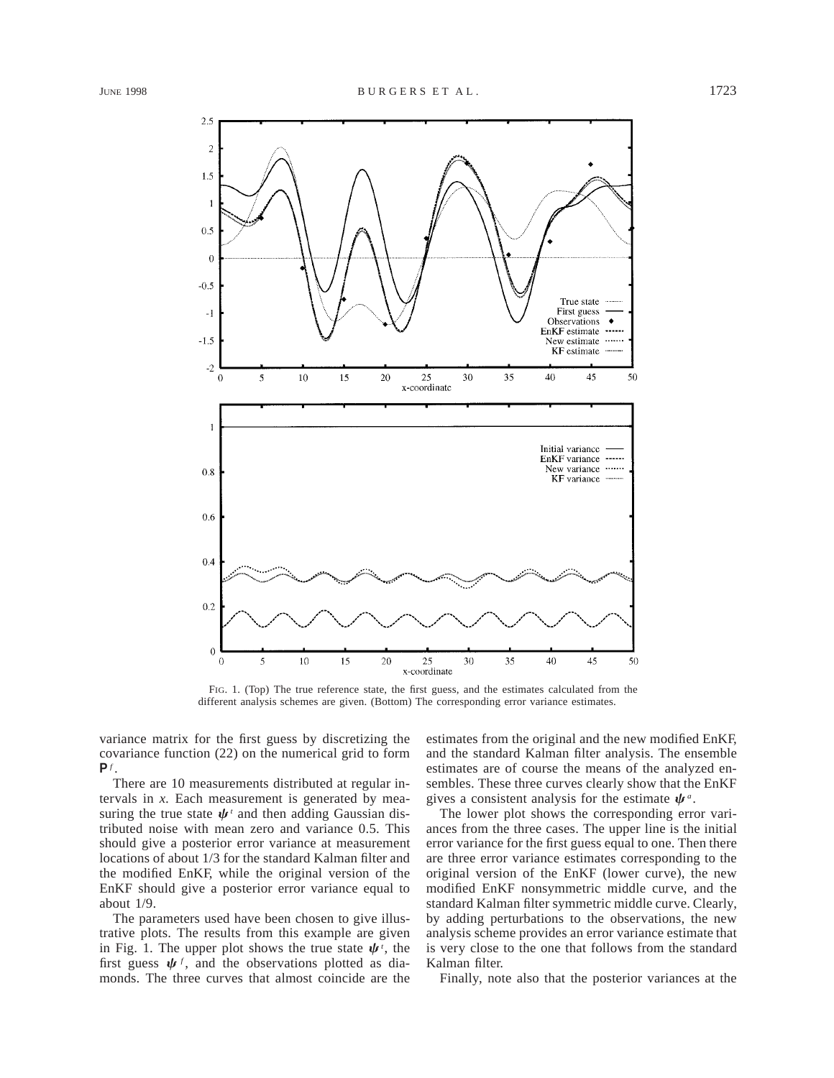

FIG. 1. (Top) The true reference state, the first guess, and the estimates calculated from the different analysis schemes are given. (Bottom) The corresponding error variance estimates.

variance matrix for the first guess by discretizing the covariance function (22) on the numerical grid to form **P** *<sup>f</sup>* .

There are 10 measurements distributed at regular intervals in *x.* Each measurement is generated by measuring the true state  $\psi$ <sup>*t*</sup> and then adding Gaussian distributed noise with mean zero and variance 0.5. This should give a posterior error variance at measurement locations of about 1/3 for the standard Kalman filter and the modified EnKF, while the original version of the EnKF should give a posterior error variance equal to about 1/9.

The parameters used have been chosen to give illustrative plots. The results from this example are given in Fig. 1. The upper plot shows the true state  $\psi^t$ , the first guess  $\psi$ <sup>f</sup>, and the observations plotted as diamonds. The three curves that almost coincide are the

estimates from the original and the new modified EnKF, and the standard Kalman filter analysis. The ensemble estimates are of course the means of the analyzed ensembles. These three curves clearly show that the EnKF gives a consistent analysis for the estimate  $\psi^a$ .

The lower plot shows the corresponding error variances from the three cases. The upper line is the initial error variance for the first guess equal to one. Then there are three error variance estimates corresponding to the original version of the EnKF (lower curve), the new modified EnKF nonsymmetric middle curve, and the standard Kalman filter symmetric middle curve. Clearly, by adding perturbations to the observations, the new analysis scheme provides an error variance estimate that is very close to the one that follows from the standard Kalman filter.

Finally, note also that the posterior variances at the